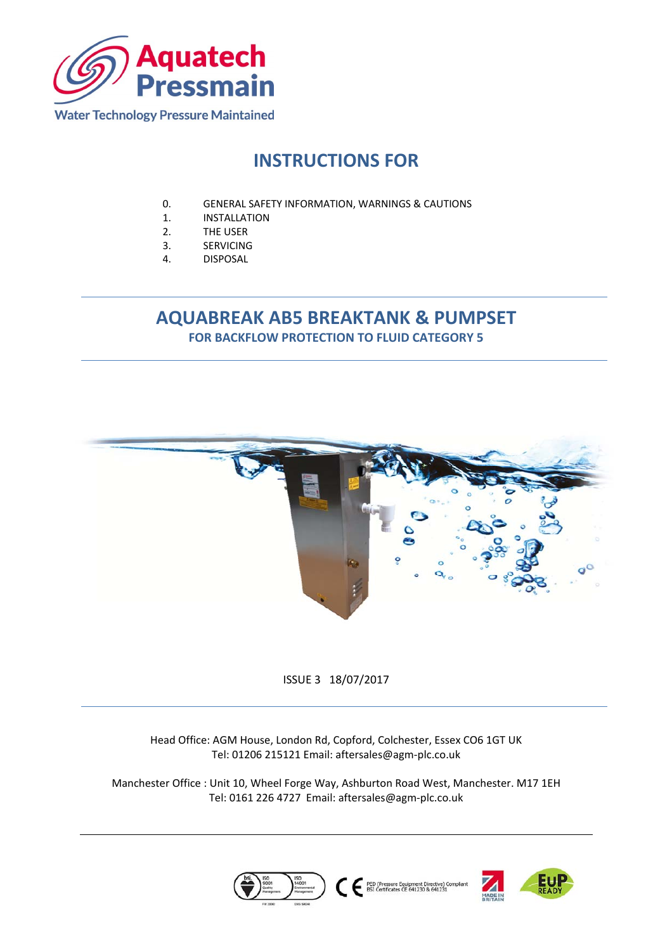

# **INSTRUCTIONS FOR**

- 0. GENERAL SAFETY INFORMATION, WARNINGS & CAUTIONS
- 1. INSTALLATION
- 2. THE USER
- 3. SERVICING
- 4. DISPOSAL

# **AQUABREAK AB5 BREAKTANK & PUMPSET FOR BACKFLOW PROTECTION TO FLUID CATEGORY 5**



ISSUE 3 18/07/2017

Head Office: AGM House, London Rd, Copford, Colchester, Essex CO6 1GT UK Tel: 01206 215121 Email: aftersales@agm‐plc.co.uk

Manchester Office : Unit 10, Wheel Forge Way, Ashburton Road West, Manchester. M17 1EH Tel: 0161 226 4727 Email: aftersales@agm‐plc.co.uk





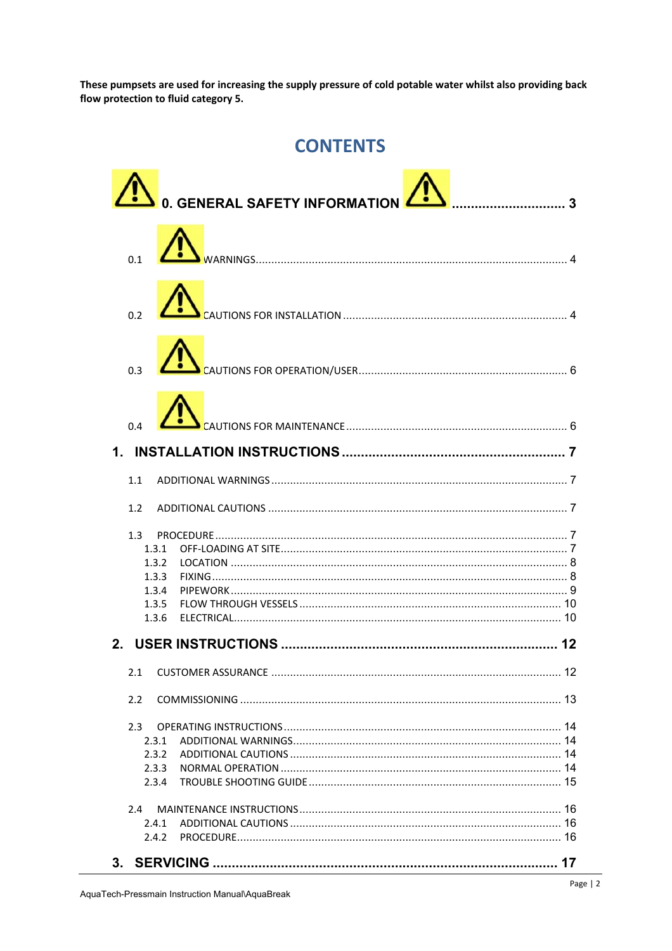These pumpsets are used for increasing the supply pressure of cold potable water whilst also providing back flow protection to fluid category 5.

# **CONTENTS**

|                                                           | 0. GENERAL SAFETY INFORMATION |
|-----------------------------------------------------------|-------------------------------|
|                                                           |                               |
|                                                           |                               |
|                                                           |                               |
|                                                           |                               |
|                                                           |                               |
| 1.1                                                       |                               |
| 1.2                                                       |                               |
| 1.3<br>1.3.1<br>1.3.2<br>1.3.3<br>1.3.4<br>1.3.5<br>1.3.6 |                               |
|                                                           |                               |
| 2.1                                                       |                               |
|                                                           |                               |
| 2.2                                                       |                               |
| 2.3<br>2.3.1<br>2.3.2<br>2.3.3<br>2.3.4                   |                               |
| 2.4                                                       |                               |
| 2.4.1                                                     |                               |
| 2.4.2                                                     |                               |
|                                                           |                               |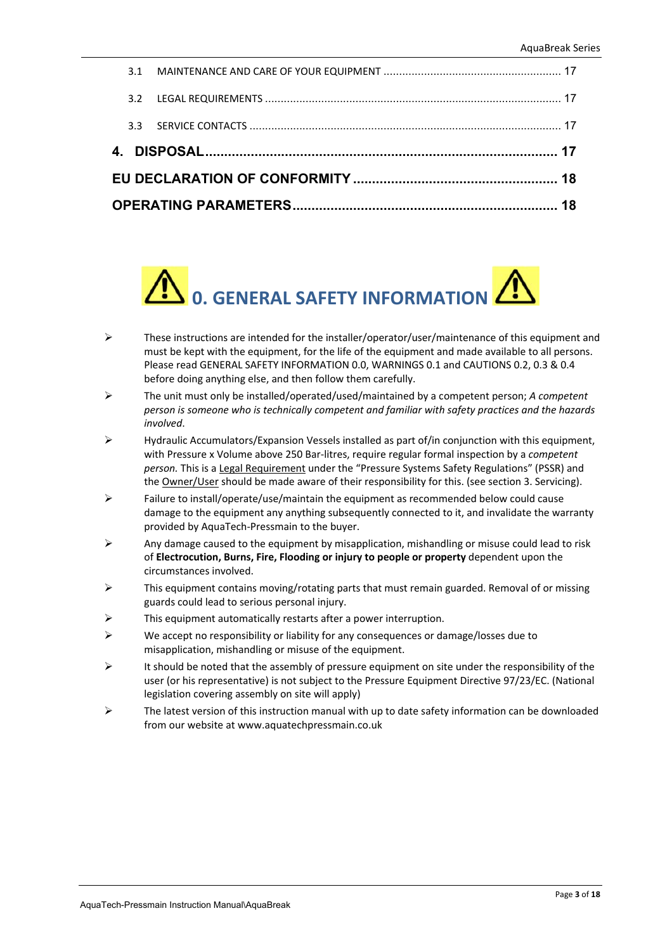|  | 3.2 |  |  |  |  |
|--|-----|--|--|--|--|
|  |     |  |  |  |  |
|  |     |  |  |  |  |
|  |     |  |  |  |  |
|  |     |  |  |  |  |



- $\triangleright$  These instructions are intended for the installer/operator/user/maintenance of this equipment and must be kept with the equipment, for the life of the equipment and made available to all persons. Please read GENERAL SAFETY INFORMATION 0.0, WARNINGS 0.1 and CAUTIONS 0.2, 0.3 & 0.4 before doing anything else, and then follow them carefully.
- The unit must only be installed/operated/used/maintained by a competent person; *A competent person is someone who is technically competent and familiar with safety practices and the hazards involved*.
- Hydraulic Accumulators/Expansion Vessels installed as part of/in conjunction with this equipment, with Pressure x Volume above 250 Bar‐litres, require regular formal inspection by a *competent person.* This is a Legal Requirement under the "Pressure Systems Safety Regulations" (PSSR) and the Owner/User should be made aware of their responsibility for this. (see section 3. Servicing).
- $\triangleright$  Failure to install/operate/use/maintain the equipment as recommended below could cause damage to the equipment any anything subsequently connected to it, and invalidate the warranty provided by AquaTech‐Pressmain to the buyer.
- $\triangleright$  Any damage caused to the equipment by misapplication, mishandling or misuse could lead to risk of **Electrocution, Burns, Fire, Flooding or injury to people or property** dependent upon the circumstances involved.
- $\triangleright$  This equipment contains moving/rotating parts that must remain guarded. Removal of or missing guards could lead to serious personal injury.
- This equipment automatically restarts after a power interruption.
- $\triangleright$  We accept no responsibility or liability for any consequences or damage/losses due to misapplication, mishandling or misuse of the equipment.
- It should be noted that the assembly of pressure equipment on site under the responsibility of the user (or his representative) is not subject to the Pressure Equipment Directive 97/23/EC. (National legislation covering assembly on site will apply)
- $\triangleright$  The latest version of this instruction manual with up to date safety information can be downloaded from our website at www.aquatechpressmain.co.uk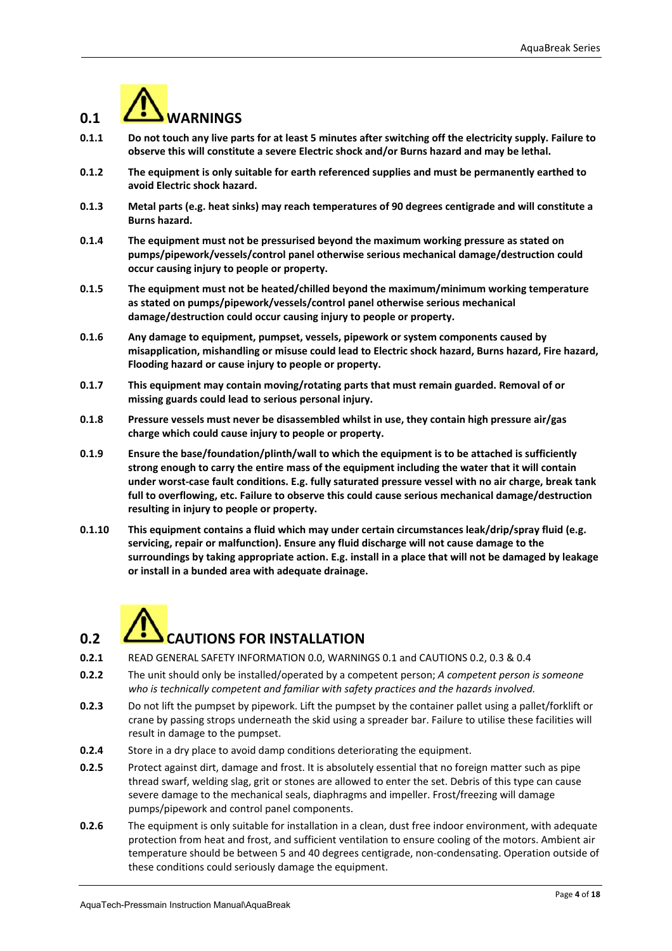

- **0.1.1 Do not touch any live parts for at least 5 minutes after switching off the electricity supply. Failure to observe this will constitute a severe Electric shock and/or Burns hazard and may be lethal.**
- **0.1.2 The equipment is only suitable for earth referenced supplies and must be permanently earthed to avoid Electric shock hazard.**
- **0.1.3 Metal parts (e.g. heat sinks) may reach temperatures of 90 degrees centigrade and will constitute a Burns hazard.**
- **0.1.4 The equipment must not be pressurised beyond the maximum working pressure as stated on pumps/pipework/vessels/control panel otherwise serious mechanical damage/destruction could occur causing injury to people or property.**
- **0.1.5 The equipment must not be heated/chilled beyond the maximum/minimum working temperature as stated on pumps/pipework/vessels/control panel otherwise serious mechanical damage/destruction could occur causing injury to people or property.**
- **0.1.6 Any damage to equipment, pumpset, vessels, pipework or system components caused by misapplication, mishandling or misuse could lead to Electric shock hazard, Burns hazard, Fire hazard, Flooding hazard or cause injury to people or property.**
- **0.1.7 This equipment may contain moving/rotating parts that must remain guarded. Removal of or missing guards could lead to serious personal injury.**
- **0.1.8 Pressure vessels must never be disassembled whilst in use, they contain high pressure air/gas charge which could cause injury to people or property.**
- **0.1.9 Ensure the base/foundation/plinth/wall to which the equipment is to be attached is sufficiently strong enough to carry the entire mass of the equipment including the water that it will contain under worst‐case fault conditions. E.g. fully saturated pressure vessel with no air charge, break tank full to overflowing, etc. Failure to observe this could cause serious mechanical damage/destruction resulting in injury to people or property.**
- **0.1.10 This equipment contains a fluid which may under certain circumstances leak/drip/spray fluid (e.g. servicing, repair or malfunction). Ensure any fluid discharge will not cause damage to the surroundings by taking appropriate action. E.g. install in a place that will not be damaged by leakage or install in a bunded area with adequate drainage.**

# **0.2** *C***. CAUTIONS FOR INSTALLATION**

- **0.2.1** READ GENERAL SAFETY INFORMATION 0.0, WARNINGS 0.1 and CAUTIONS 0.2, 0.3 & 0.4
- **0.2.2** The unit should only be installed/operated by a competent person; *A competent person is someone who is technically competent and familiar with safety practices and the hazards involved.*
- **0.2.3** Do not lift the pumpset by pipework. Lift the pumpset by the container pallet using a pallet/forklift or crane by passing strops underneath the skid using a spreader bar. Failure to utilise these facilities will result in damage to the pumpset.
- **0.2.4** Store in a dry place to avoid damp conditions deteriorating the equipment.
- **0.2.5** Protect against dirt, damage and frost. It is absolutely essential that no foreign matter such as pipe thread swarf, welding slag, grit or stones are allowed to enter the set. Debris of this type can cause severe damage to the mechanical seals, diaphragms and impeller. Frost/freezing will damage pumps/pipework and control panel components.
- **0.2.6** The equipment is only suitable for installation in a clean, dust free indoor environment, with adequate protection from heat and frost, and sufficient ventilation to ensure cooling of the motors. Ambient air temperature should be between 5 and 40 degrees centigrade, non-condensating. Operation outside of these conditions could seriously damage the equipment.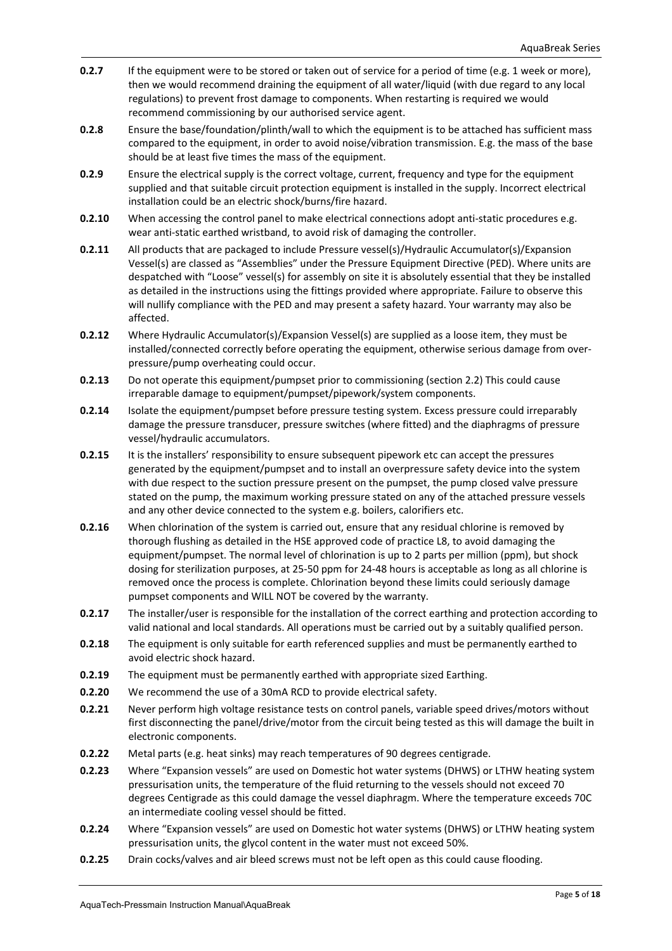- **0.2.7** If the equipment were to be stored or taken out of service for a period of time (e.g. 1 week or more), then we would recommend draining the equipment of all water/liquid (with due regard to any local regulations) to prevent frost damage to components. When restarting is required we would recommend commissioning by our authorised service agent.
- **0.2.8** Ensure the base/foundation/plinth/wall to which the equipment is to be attached has sufficient mass compared to the equipment, in order to avoid noise/vibration transmission. E.g. the mass of the base should be at least five times the mass of the equipment.
- **0.2.9** Ensure the electrical supply is the correct voltage, current, frequency and type for the equipment supplied and that suitable circuit protection equipment is installed in the supply. Incorrect electrical installation could be an electric shock/burns/fire hazard.
- **0.2.10** When accessing the control panel to make electrical connections adopt anti-static procedures e.g. wear anti-static earthed wristband, to avoid risk of damaging the controller.
- **0.2.11** All products that are packaged to include Pressure vessel(s)/Hydraulic Accumulator(s)/Expansion Vessel(s) are classed as "Assemblies" under the Pressure Equipment Directive (PED). Where units are despatched with "Loose" vessel(s) for assembly on site it is absolutely essential that they be installed as detailed in the instructions using the fittings provided where appropriate. Failure to observe this will nullify compliance with the PED and may present a safety hazard. Your warranty may also be affected.
- **0.2.12** Where Hydraulic Accumulator(s)/Expansion Vessel(s) are supplied as a loose item, they must be installed/connected correctly before operating the equipment, otherwise serious damage from over‐ pressure/pump overheating could occur.
- **0.2.13** Do not operate this equipment/pumpset prior to commissioning (section 2.2) This could cause irreparable damage to equipment/pumpset/pipework/system components.
- **0.2.14** Isolate the equipment/pumpset before pressure testing system. Excess pressure could irreparably damage the pressure transducer, pressure switches (where fitted) and the diaphragms of pressure vessel/hydraulic accumulators.
- **0.2.15** It is the installers' responsibility to ensure subsequent pipework etc can accept the pressures generated by the equipment/pumpset and to install an overpressure safety device into the system with due respect to the suction pressure present on the pumpset, the pump closed valve pressure stated on the pump, the maximum working pressure stated on any of the attached pressure vessels and any other device connected to the system e.g. boilers, calorifiers etc.
- **0.2.16** When chlorination of the system is carried out, ensure that any residual chlorine is removed by thorough flushing as detailed in the HSE approved code of practice L8, to avoid damaging the equipment/pumpset. The normal level of chlorination is up to 2 parts per million (ppm), but shock dosing for sterilization purposes, at 25‐50 ppm for 24‐48 hours is acceptable as long as all chlorine is removed once the process is complete. Chlorination beyond these limits could seriously damage pumpset components and WILL NOT be covered by the warranty.
- **0.2.17** The installer/user is responsible for the installation of the correct earthing and protection according to valid national and local standards. All operations must be carried out by a suitably qualified person.
- **0.2.18** The equipment is only suitable for earth referenced supplies and must be permanently earthed to avoid electric shock hazard.
- **0.2.19** The equipment must be permanently earthed with appropriate sized Earthing.
- **0.2.20** We recommend the use of a 30mA RCD to provide electrical safety.
- **0.2.21** Never perform high voltage resistance tests on control panels, variable speed drives/motors without first disconnecting the panel/drive/motor from the circuit being tested as this will damage the built in electronic components.
- **0.2.22** Metal parts (e.g. heat sinks) may reach temperatures of 90 degrees centigrade.
- **0.2.23** Where "Expansion vessels" are used on Domestic hot water systems (DHWS) or LTHW heating system pressurisation units, the temperature of the fluid returning to the vessels should not exceed 70 degrees Centigrade as this could damage the vessel diaphragm. Where the temperature exceeds 70C an intermediate cooling vessel should be fitted.
- **0.2.24** Where "Expansion vessels" are used on Domestic hot water systems (DHWS) or LTHW heating system pressurisation units, the glycol content in the water must not exceed 50%.
- **0.2.25** Drain cocks/valves and air bleed screws must not be left open as this could cause flooding.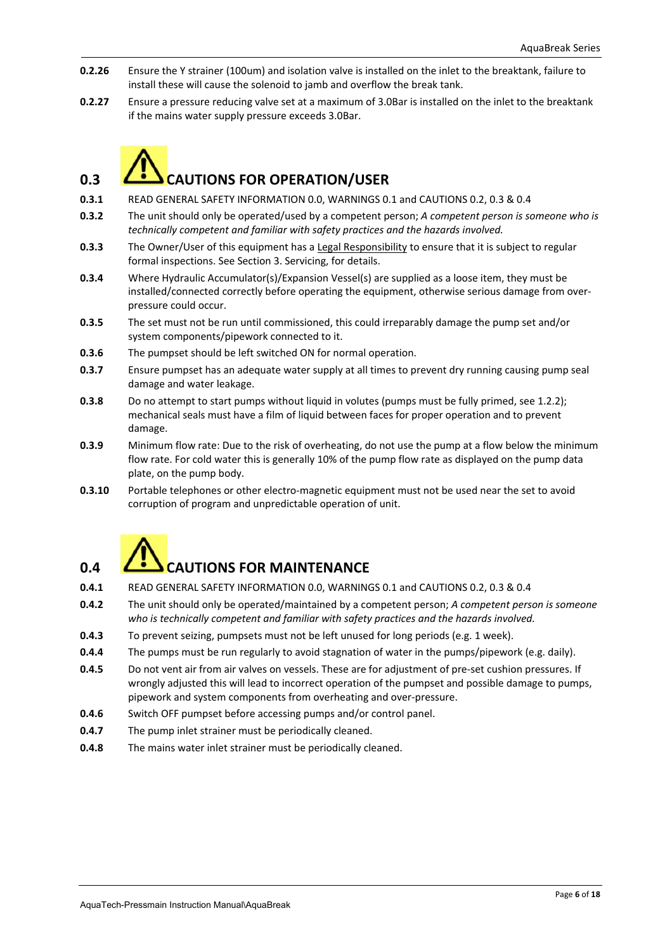- **0.2.26** Ensure the Y strainer (100um) and isolation valve is installed on the inlet to the breaktank, failure to install these will cause the solenoid to jamb and overflow the break tank.
- **0.2.27** Ensure a pressure reducing valve set at a maximum of 3.0Bar is installed on the inlet to the breaktank if the mains water supply pressure exceeds 3.0Bar.



- **0.3.1** READ GENERAL SAFETY INFORMATION 0.0, WARNINGS 0.1 and CAUTIONS 0.2, 0.3 & 0.4
- **0.3.2** The unit should only be operated/used by a competent person; *A competent person is someone who is technically competent and familiar with safety practices and the hazards involved.*
- **0.3.3** The Owner/User of this equipment has a Legal Responsibility to ensure that it is subject to regular formal inspections. See Section 3. Servicing, for details.
- **0.3.4** Where Hydraulic Accumulator(s)/Expansion Vessel(s) are supplied as a loose item, they must be installed/connected correctly before operating the equipment, otherwise serious damage from over‐ pressure could occur.
- **0.3.5** The set must not be run until commissioned, this could irreparably damage the pump set and/or system components/pipework connected to it.
- **0.3.6** The pumpset should be left switched ON for normal operation.
- **0.3.7** Ensure pumpset has an adequate water supply at all times to prevent dry running causing pump seal damage and water leakage.
- **0.3.8** Do no attempt to start pumps without liquid in volutes (pumps must be fully primed, see 1.2.2); mechanical seals must have a film of liquid between faces for proper operation and to prevent damage.
- **0.3.9** Minimum flow rate: Due to the risk of overheating, do not use the pump at a flow below the minimum flow rate. For cold water this is generally 10% of the pump flow rate as displayed on the pump data plate, on the pump body.
- **0.3.10** Portable telephones or other electro-magnetic equipment must not be used near the set to avoid corruption of program and unpredictable operation of unit.



# **0.4 CAUTIONS FOR MAINTENANCE**

- **0.4.1** READ GENERAL SAFETY INFORMATION 0.0, WARNINGS 0.1 and CAUTIONS 0.2, 0.3 & 0.4
- **0.4.2** The unit should only be operated/maintained by a competent person; *A competent person is someone who is technically competent and familiar with safety practices and the hazards involved.*
- **0.4.3** To prevent seizing, pumpsets must not be left unused for long periods (e.g. 1 week).
- **0.4.4** The pumps must be run regularly to avoid stagnation of water in the pumps/pipework (e.g. daily).
- **0.4.5** Do not vent air from air valves on vessels. These are for adjustment of pre-set cushion pressures. If wrongly adjusted this will lead to incorrect operation of the pumpset and possible damage to pumps, pipework and system components from overheating and over‐pressure.
- **0.4.6** Switch OFF pumpset before accessing pumps and/or control panel.
- **0.4.7** The pump inlet strainer must be periodically cleaned.
- **0.4.8** The mains water inlet strainer must be periodically cleaned.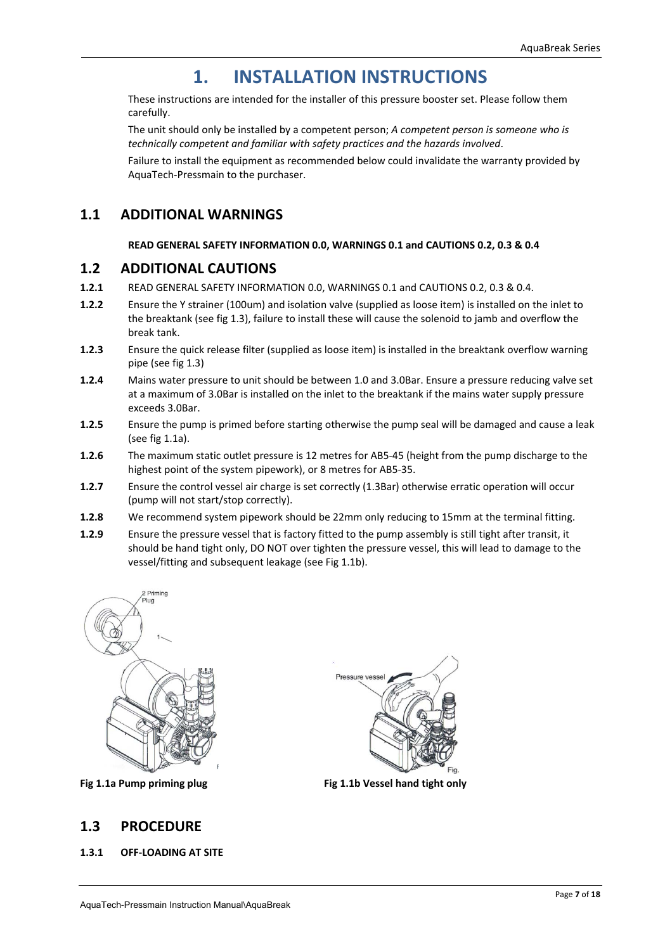# **1. INSTALLATION INSTRUCTIONS**

 These instructions are intended for the installer of this pressure booster set. Please follow them carefully.

 The unit should only be installed by a competent person; *A competent person is someone who is technically competent and familiar with safety practices and the hazards involved*.

 Failure to install the equipment as recommended below could invalidate the warranty provided by AquaTech‐Pressmain to the purchaser.

### **1.1 ADDITIONAL WARNINGS**

#### **READ GENERAL SAFETY INFORMATION 0.0, WARNINGS 0.1 and CAUTIONS 0.2, 0.3 & 0.4**

#### **1.2 ADDITIONAL CAUTIONS**

- **1.2.1**  READ GENERAL SAFETY INFORMATION 0.0, WARNINGS 0.1 and CAUTIONS 0.2, 0.3 & 0.4.
- **1.2.2**  Ensure the Y strainer (100um) and isolation valve (supplied as loose item) is installed on the inlet to the breaktank (see fig 1.3), failure to install these will cause the solenoid to jamb and overflow the break tank.
- **1.2.3**  Ensure the quick release filter (supplied as loose item) is installed in the breaktank overflow warning pipe (see fig 1.3)
- **1.2.4** Mains water pressure to unit should be between 1.0 and 3.0Bar. Ensure a pressure reducing valve set at a maximum of 3.0Bar is installed on the inlet to the breaktank if the mains water supply pressure exceeds 3.0Bar.
- **1.2.5** Ensure the pump is primed before starting otherwise the pump seal will be damaged and cause a leak (see fig 1.1a).
- **1.2.6**  The maximum static outlet pressure is 12 metres for AB5‐45 (height from the pump discharge to the highest point of the system pipework), or 8 metres for AB5‐35.
- **1.2.7**  Ensure the control vessel air charge is set correctly (1.3Bar) otherwise erratic operation will occur (pump will not start/stop correctly).
- **1.2.8**  We recommend system pipework should be 22mm only reducing to 15mm at the terminal fitting.
- **1.2.9**  Ensure the pressure vessel that is factory fitted to the pump assembly is still tight after transit, it should be hand tight only, DO NOT over tighten the pressure vessel, this will lead to damage to the vessel/fitting and subsequent leakage (see Fig 1.1b).



# **1.3 PROCEDURE**

**1.3.1 OFF‐LOADING AT SITE** 



Fig 1.1a Pump priming plug **Fig 1.1b Vessel hand tight only**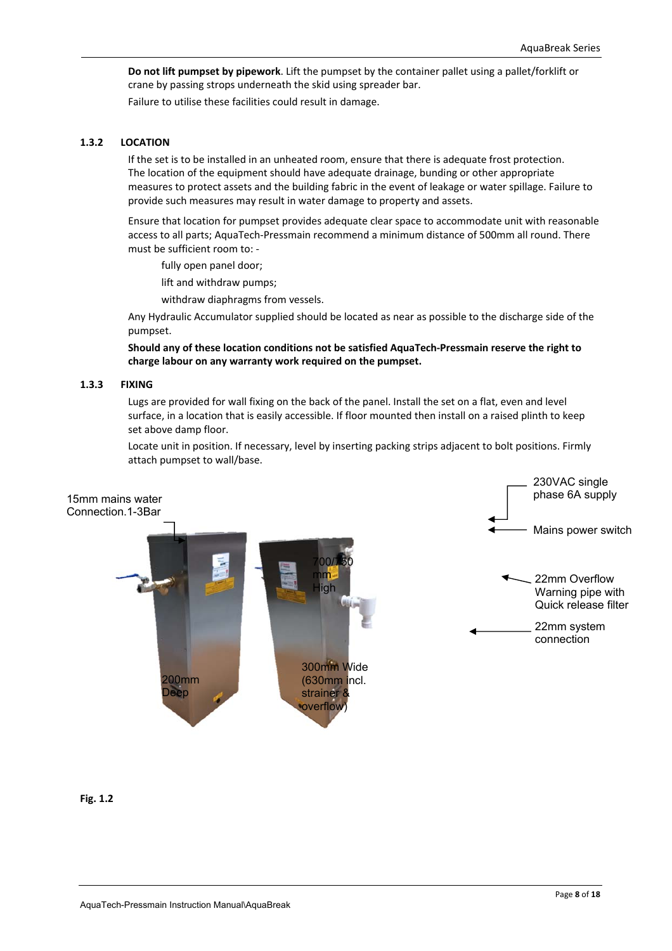**Do not lift pumpset by pipework**. Lift the pumpset by the container pallet using a pallet/forklift or crane by passing strops underneath the skid using spreader bar.

Failure to utilise these facilities could result in damage.

#### **1.3.2 LOCATION**

 If the set is to be installed in an unheated room, ensure that there is adequate frost protection. The location of the equipment should have adequate drainage, bunding or other appropriate measures to protect assets and the building fabric in the event of leakage or water spillage. Failure to provide such measures may result in water damage to property and assets.

 Ensure that location for pumpset provides adequate clear space to accommodate unit with reasonable access to all parts; AquaTech‐Pressmain recommend a minimum distance of 500mm all round. There must be sufficient room to: ‐

fully open panel door;

lift and withdraw pumps;

withdraw diaphragms from vessels.

 Any Hydraulic Accumulator supplied should be located as near as possible to the discharge side of the pumpset.

**Should any of these location conditions not be satisfied AquaTech‐Pressmain reserve the right to charge labour on any warranty work required on the pumpset.** 

#### **1.3.3 FIXING**

 Lugs are provided for wall fixing on the back of the panel. Install the set on a flat, even and level surface, in a location that is easily accessible. If floor mounted then install on a raised plinth to keep set above damp floor.

 Locate unit in position. If necessary, level by inserting packing strips adjacent to bolt positions. Firmly attach pumpset to wall/base.



**Fig. 1.2**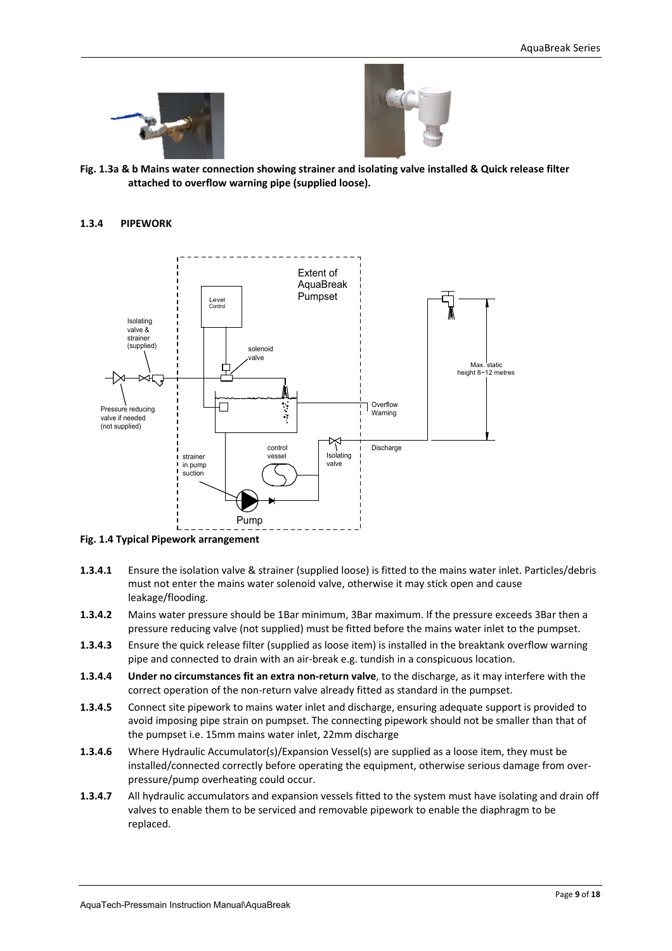



**Fig. 1.3a & b Mains water connection showing strainer and isolating valve installed & Quick release filter attached to overflow warning pipe (supplied loose).** 

#### **1.3.4 PIPEWORK**



**Fig. 1.4 Typical Pipework arrangement** 

- **1.3.4.1**  Ensure the isolation valve & strainer (supplied loose) is fitted to the mains water inlet. Particles/debris must not enter the mains water solenoid valve, otherwise it may stick open and cause leakage/flooding.
- **1.3.4.2**  Mains water pressure should be 1Bar minimum, 3Bar maximum. If the pressure exceeds 3Bar then a pressure reducing valve (not supplied) must be fitted before the mains water inlet to the pumpset.
- **1.3.4.3**  Ensure the quick release filter (supplied as loose item) is installed in the breaktank overflow warning pipe and connected to drain with an air‐break e.g. tundish in a conspicuous location.
- **1.3.4.4 Under no circumstances fit an extra non‐return valve**, to the discharge, as it may interfere with the correct operation of the non‐return valve already fitted as standard in the pumpset.
- **1.3.4.5**  Connect site pipework to mains water inlet and discharge, ensuring adequate support is provided to avoid imposing pipe strain on pumpset. The connecting pipework should not be smaller than that of the pumpset i.e. 15mm mains water inlet, 22mm discharge
- **1.3.4.6** Where Hydraulic Accumulator(s)/Expansion Vessel(s) are supplied as a loose item, they must be installed/connected correctly before operating the equipment, otherwise serious damage from overpressure/pump overheating could occur.
- **1.3.4.7** All hydraulic accumulators and expansion vessels fitted to the system must have isolating and drain off valves to enable them to be serviced and removable pipework to enable the diaphragm to be replaced.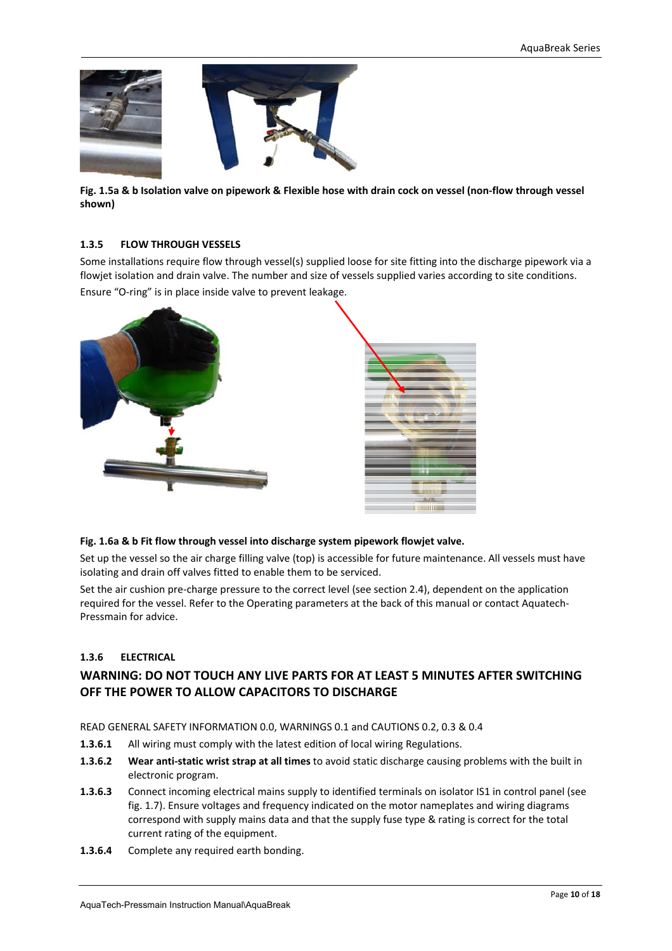

**Fig. 1.5a & b Isolation valve on pipework & Flexible hose with drain cock on vessel (non‐flow through vessel shown)**

#### **1.3.5 FLOW THROUGH VESSELS**

Some installations require flow through vessel(s) supplied loose for site fitting into the discharge pipework via a flowjet isolation and drain valve. The number and size of vessels supplied varies according to site conditions. Ensure "O‐ring" is in place inside valve to prevent leakage.



#### **Fig. 1.6a & b Fit flow through vessel into discharge system pipework flowjet valve.**

Set up the vessel so the air charge filling valve (top) is accessible for future maintenance. All vessels must have isolating and drain off valves fitted to enable them to be serviced.

Set the air cushion pre-charge pressure to the correct level (see section 2.4), dependent on the application required for the vessel. Refer to the Operating parameters at the back of this manual or contact Aquatech‐ Pressmain for advice.

#### **1.3.6 ELECTRICAL**

### **WARNING: DO NOT TOUCH ANY LIVE PARTS FOR AT LEAST 5 MINUTES AFTER SWITCHING OFF THE POWER TO ALLOW CAPACITORS TO DISCHARGE**

READ GENERAL SAFETY INFORMATION 0.0, WARNINGS 0.1 and CAUTIONS 0.2, 0.3 & 0.4

- **1.3.6.1** All wiring must comply with the latest edition of local wiring Regulations.
- **1.3.6.2 Wear anti‐static wrist strap at all times** to avoid static discharge causing problems with the built in electronic program.
- **1.3.6.3** Connect incoming electrical mains supply to identified terminals on isolator IS1 in control panel (see fig. 1.7). Ensure voltages and frequency indicated on the motor nameplates and wiring diagrams correspond with supply mains data and that the supply fuse type & rating is correct for the total current rating of the equipment.
- **1.3.6.4** Complete any required earth bonding.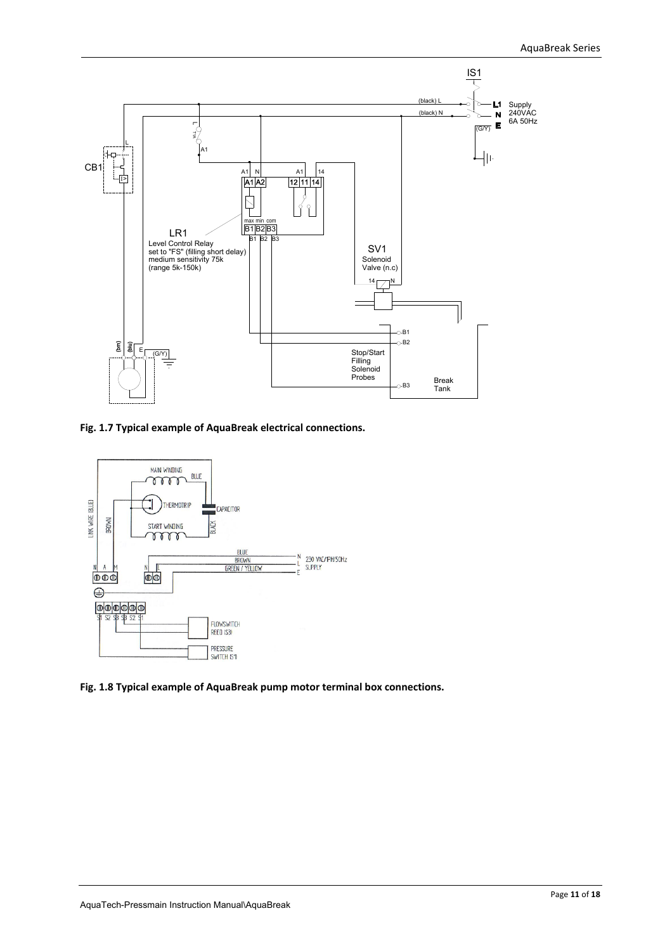

**Fig. 1.7 Typical example of AquaBreak electrical connections.** 



**Fig. 1.8 Typical example of AquaBreak pump motor terminal box connections.**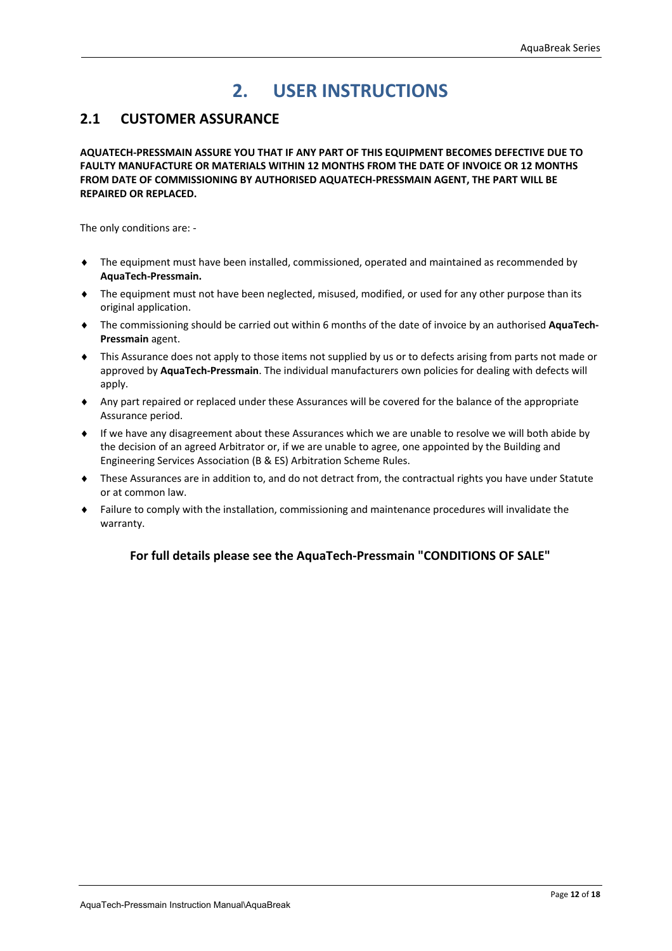# **2. USER INSTRUCTIONS**

# **2.1 CUSTOMER ASSURANCE**

**AQUATECH‐PRESSMAIN ASSURE YOU THAT IF ANY PART OF THIS EQUIPMENT BECOMES DEFECTIVE DUE TO FAULTY MANUFACTURE OR MATERIALS WITHIN 12 MONTHS FROM THE DATE OF INVOICE OR 12 MONTHS FROM DATE OF COMMISSIONING BY AUTHORISED AQUATECH‐PRESSMAIN AGENT, THE PART WILL BE REPAIRED OR REPLACED.** 

The only conditions are: ‐

- The equipment must have been installed, commissioned, operated and maintained as recommended by **AquaTech‐Pressmain.**
- The equipment must not have been neglected, misused, modified, or used for any other purpose than its original application.
- The commissioning should be carried out within 6 months of the date of invoice by an authorised **AquaTech‐ Pressmain** agent.
- This Assurance does not apply to those items not supplied by us or to defects arising from parts not made or approved by **AquaTech‐Pressmain**. The individual manufacturers own policies for dealing with defects will apply.
- Any part repaired or replaced under these Assurances will be covered for the balance of the appropriate Assurance period.
- If we have any disagreement about these Assurances which we are unable to resolve we will both abide by the decision of an agreed Arbitrator or, if we are unable to agree, one appointed by the Building and Engineering Services Association (B & ES) Arbitration Scheme Rules.
- These Assurances are in addition to, and do not detract from, the contractual rights you have under Statute or at common law.
- Failure to comply with the installation, commissioning and maintenance procedures will invalidate the warranty.

#### **For full details please see the AquaTech‐Pressmain "CONDITIONS OF SALE"**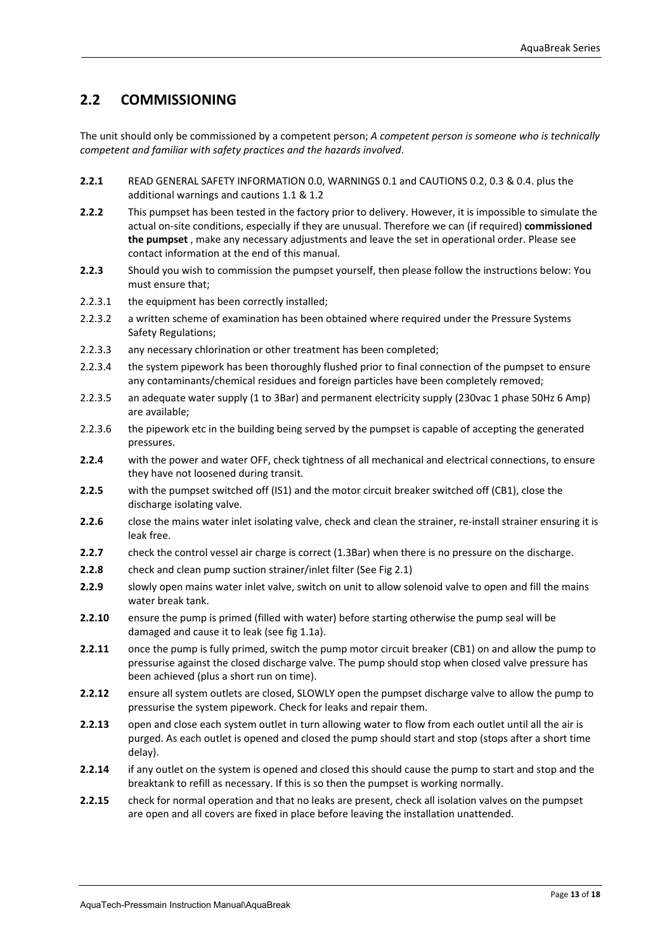# **2.2 COMMISSIONING**

The unit should only be commissioned by a competent person; *A competent person is someone who is technically competent and familiar with safety practices and the hazards involved*.

- **2.2.1**  READ GENERAL SAFETY INFORMATION 0.0, WARNINGS 0.1 and CAUTIONS 0.2, 0.3 & 0.4. plus the additional warnings and cautions 1.1 & 1.2
- **2.2.2**  This pumpset has been tested in the factory prior to delivery. However, it is impossible to simulate the actual on‐site conditions, especially if they are unusual. Therefore we can (if required) **commissioned the pumpset** , make any necessary adjustments and leave the set in operational order. Please see contact information at the end of this manual.
- **2.2.3**  Should you wish to commission the pumpset yourself, then please follow the instructions below: You must ensure that;
- 2.2.3.1 the equipment has been correctly installed;
- 2.2.3.2 a written scheme of examination has been obtained where required under the Pressure Systems Safety Regulations;
- 2.2.3.3 any necessary chlorination or other treatment has been completed;
- 2.2.3.4 the system pipework has been thoroughly flushed prior to final connection of the pumpset to ensure any contaminants/chemical residues and foreign particles have been completely removed;
- 2.2.3.5 an adequate water supply (1 to 3Bar) and permanent electricity supply (230vac 1 phase 50Hz 6 Amp) are available;
- 2.2.3.6 the pipework etc in the building being served by the pumpset is capable of accepting the generated pressures.
- **2.2.4** with the power and water OFF, check tightness of all mechanical and electrical connections, to ensure they have not loosened during transit.
- **2.2.5** with the pumpset switched off (IS1) and the motor circuit breaker switched off (CB1), close the discharge isolating valve.
- 2.2.6 close the mains water inlet isolating valve, check and clean the strainer, re-install strainer ensuring it is leak free.
- **2.2.7** check the control vessel air charge is correct (1.3Bar) when there is no pressure on the discharge.
- **2.2.8**  check and clean pump suction strainer/inlet filter (See Fig 2.1)
- **2.2.9**  slowly open mains water inlet valve, switch on unit to allow solenoid valve to open and fill the mains water break tank.
- **2.2.10** ensure the pump is primed (filled with water) before starting otherwise the pump seal will be damaged and cause it to leak (see fig 1.1a).
- **2.2.11** once the pump is fully primed, switch the pump motor circuit breaker (CB1) on and allow the pump to pressurise against the closed discharge valve. The pump should stop when closed valve pressure has been achieved (plus a short run on time).
- **2.2.12** ensure all system outlets are closed, SLOWLY open the pumpset discharge valve to allow the pump to pressurise the system pipework. Check for leaks and repair them.
- **2.2.13** open and close each system outlet in turn allowing water to flow from each outlet until all the air is purged. As each outlet is opened and closed the pump should start and stop (stops after a short time delay).
- **2.2.14** if any outlet on the system is opened and closed this should cause the pump to start and stop and the breaktank to refill as necessary. If this is so then the pumpset is working normally.
- **2.2.15** check for normal operation and that no leaks are present, check all isolation valves on the pumpset are open and all covers are fixed in place before leaving the installation unattended.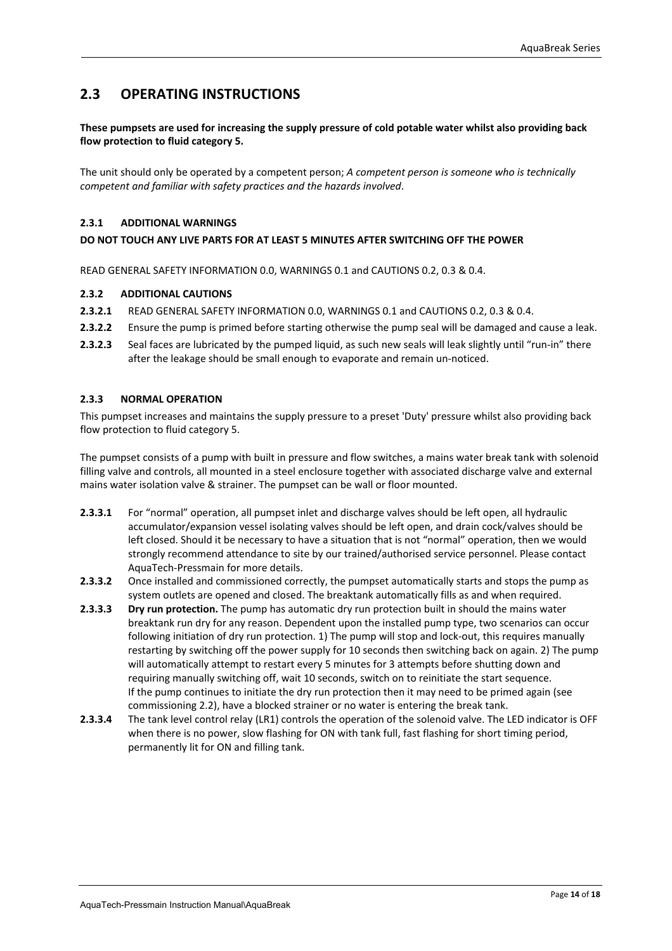## **2.3 OPERATING INSTRUCTIONS**

#### **These pumpsets are used for increasing the supply pressure of cold potable water whilst also providing back flow protection to fluid category 5.**

The unit should only be operated by a competent person; *A competent person is someone who is technically competent and familiar with safety practices and the hazards involved*.

#### **2.3.1 ADDITIONAL WARNINGS**

#### **DO NOT TOUCH ANY LIVE PARTS FOR AT LEAST 5 MINUTES AFTER SWITCHING OFF THE POWER**

READ GENERAL SAFETY INFORMATION 0.0, WARNINGS 0.1 and CAUTIONS 0.2, 0.3 & 0.4.

#### **2.3.2 ADDITIONAL CAUTIONS**

- **2.3.2.1**  READ GENERAL SAFETY INFORMATION 0.0, WARNINGS 0.1 and CAUTIONS 0.2, 0.3 & 0.4.
- **2.3.2.2**  Ensure the pump is primed before starting otherwise the pump seal will be damaged and cause a leak.
- **2.3.2.3**  Seal faces are lubricated by the pumped liquid, as such new seals will leak slightly until "run‐in" there after the leakage should be small enough to evaporate and remain un‐noticed.

#### **2.3.3 NORMAL OPERATION**

This pumpset increases and maintains the supply pressure to a preset 'Duty' pressure whilst also providing back flow protection to fluid category 5.

The pumpset consists of a pump with built in pressure and flow switches, a mains water break tank with solenoid filling valve and controls, all mounted in a steel enclosure together with associated discharge valve and external mains water isolation valve & strainer. The pumpset can be wall or floor mounted.

- **2.3.3.1** For "normal" operation, all pumpset inlet and discharge valves should be left open, all hydraulic accumulator/expansion vessel isolating valves should be left open, and drain cock/valves should be left closed. Should it be necessary to have a situation that is not "normal" operation, then we would strongly recommend attendance to site by our trained/authorised service personnel. Please contact AquaTech‐Pressmain for more details.
- **2.3.3.2** Once installed and commissioned correctly, the pumpset automatically starts and stops the pump as system outlets are opened and closed. The breaktank automatically fills as and when required.
- **2.3.3.3 Dry run protection.** The pump has automatic dry run protection built in should the mains water breaktank run dry for any reason. Dependent upon the installed pump type, two scenarios can occur following initiation of dry run protection. 1) The pump will stop and lock-out, this requires manually restarting by switching off the power supply for 10 seconds then switching back on again. 2) The pump will automatically attempt to restart every 5 minutes for 3 attempts before shutting down and requiring manually switching off, wait 10 seconds, switch on to reinitiate the start sequence. If the pump continues to initiate the dry run protection then it may need to be primed again (see commissioning 2.2), have a blocked strainer or no water is entering the break tank.
- **2.3.3.4** The tank level control relay (LR1) controls the operation of the solenoid valve. The LED indicator is OFF when there is no power, slow flashing for ON with tank full, fast flashing for short timing period, permanently lit for ON and filling tank.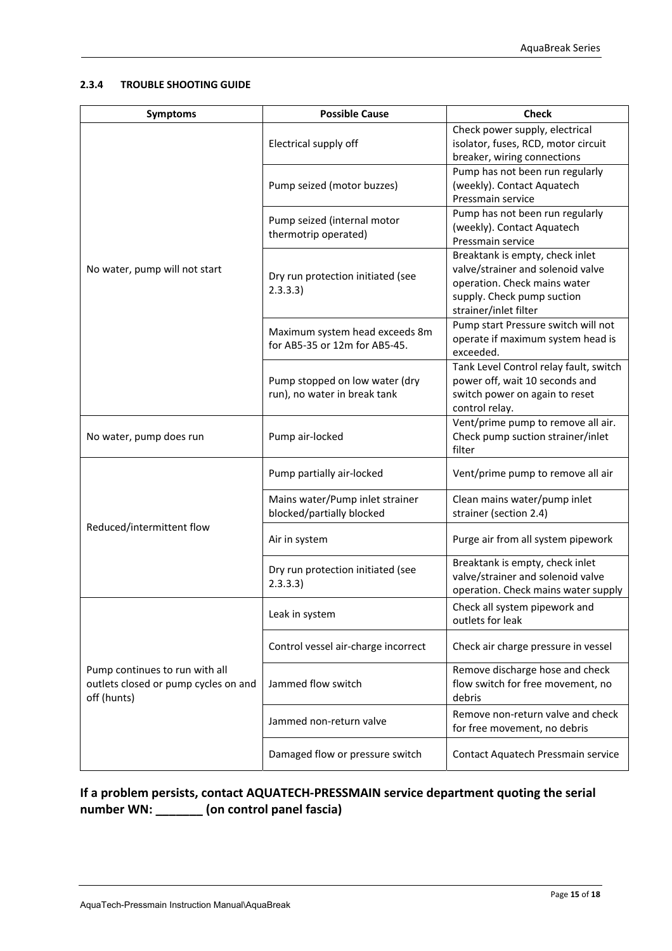#### **2.3.4 TROUBLE SHOOTING GUIDE**

| <b>Symptoms</b>                                                                       | <b>Possible Cause</b>                                           | <b>Check</b>                                                                                                                                                |  |  |
|---------------------------------------------------------------------------------------|-----------------------------------------------------------------|-------------------------------------------------------------------------------------------------------------------------------------------------------------|--|--|
|                                                                                       | Electrical supply off                                           | Check power supply, electrical<br>isolator, fuses, RCD, motor circuit<br>breaker, wiring connections                                                        |  |  |
|                                                                                       | Pump seized (motor buzzes)                                      | Pump has not been run regularly<br>(weekly). Contact Aquatech<br>Pressmain service                                                                          |  |  |
|                                                                                       | Pump seized (internal motor<br>thermotrip operated)             | Pump has not been run regularly<br>(weekly). Contact Aquatech<br>Pressmain service                                                                          |  |  |
| No water, pump will not start                                                         | Dry run protection initiated (see<br>2.3.3.3)                   | Breaktank is empty, check inlet<br>valve/strainer and solenoid valve<br>operation. Check mains water<br>supply. Check pump suction<br>strainer/inlet filter |  |  |
|                                                                                       | Maximum system head exceeds 8m<br>for AB5-35 or 12m for AB5-45. | Pump start Pressure switch will not<br>operate if maximum system head is<br>exceeded.                                                                       |  |  |
|                                                                                       | Pump stopped on low water (dry<br>run), no water in break tank  | Tank Level Control relay fault, switch<br>power off, wait 10 seconds and<br>switch power on again to reset<br>control relay.                                |  |  |
| No water, pump does run                                                               | Pump air-locked                                                 | Vent/prime pump to remove all air.<br>Check pump suction strainer/inlet<br>filter                                                                           |  |  |
|                                                                                       | Pump partially air-locked                                       | Vent/prime pump to remove all air                                                                                                                           |  |  |
|                                                                                       | Mains water/Pump inlet strainer<br>blocked/partially blocked    | Clean mains water/pump inlet<br>strainer (section 2.4)                                                                                                      |  |  |
| Reduced/intermittent flow                                                             | Air in system                                                   | Purge air from all system pipework                                                                                                                          |  |  |
|                                                                                       | Dry run protection initiated (see<br>2.3.3.3)                   | Breaktank is empty, check inlet<br>valve/strainer and solenoid valve<br>operation. Check mains water supply                                                 |  |  |
|                                                                                       | Leak in system                                                  | Check all system pipework and<br>outlets for leak                                                                                                           |  |  |
|                                                                                       | Control vessel air-charge incorrect                             | Check air charge pressure in vessel                                                                                                                         |  |  |
| Pump continues to run with all<br>outlets closed or pump cycles on and<br>off (hunts) | Jammed flow switch                                              | Remove discharge hose and check<br>flow switch for free movement, no<br>debris                                                                              |  |  |
|                                                                                       | Jammed non-return valve                                         | Remove non-return valve and check<br>for free movement, no debris                                                                                           |  |  |
|                                                                                       | Damaged flow or pressure switch                                 | Contact Aquatech Pressmain service                                                                                                                          |  |  |

# **If a problem persists, contact AQUATECH‐PRESSMAIN service department quoting the serial number WN: \_\_\_\_\_\_\_ (on control panel fascia)**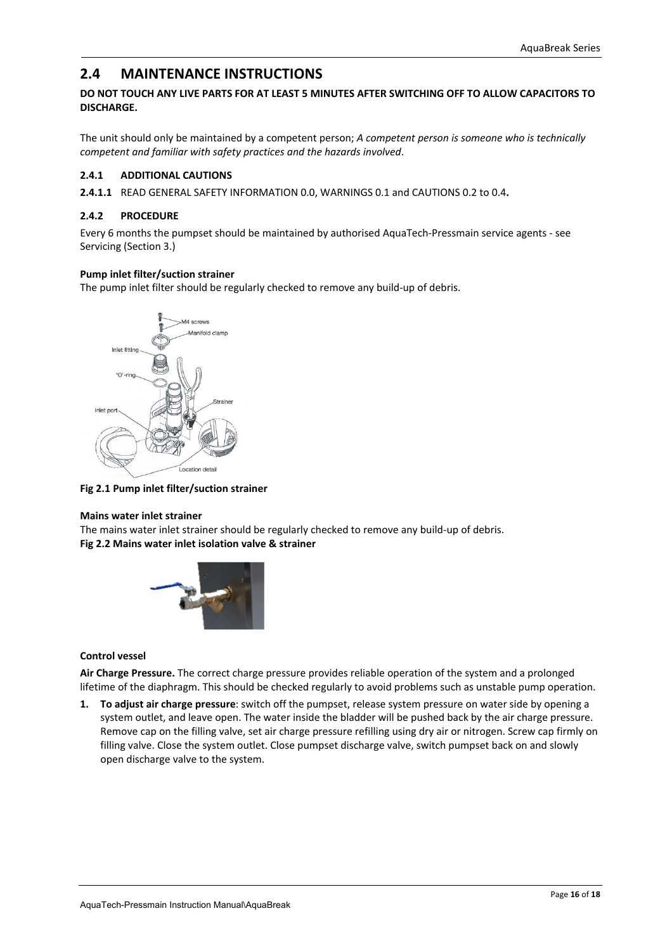### **2.4 MAINTENANCE INSTRUCTIONS**

#### **DO NOT TOUCH ANY LIVE PARTS FOR AT LEAST 5 MINUTES AFTER SWITCHING OFF TO ALLOW CAPACITORS TO DISCHARGE.**

The unit should only be maintained by a competent person; *A competent person is someone who is technically competent and familiar with safety practices and the hazards involved*.

#### **2.4.1 ADDITIONAL CAUTIONS**

**2.4.1.1** READ GENERAL SAFETY INFORMATION 0.0, WARNINGS 0.1 and CAUTIONS 0.2 to 0.4**.** 

#### **2.4.2 PROCEDURE**

Every 6 months the pumpset should be maintained by authorised AquaTech‐Pressmain service agents ‐ see Servicing (Section 3.)

#### **Pump inlet filter/suction strainer**

The pump inlet filter should be regularly checked to remove any build‐up of debris.



**Fig 2.1 Pump inlet filter/suction strainer**

#### **Mains water inlet strainer**

The mains water inlet strainer should be regularly checked to remove any build‐up of debris. **Fig 2.2 Mains water inlet isolation valve & strainer**



#### **Control vessel**

**Air Charge Pressure.** The correct charge pressure provides reliable operation of the system and a prolonged lifetime of the diaphragm. This should be checked regularly to avoid problems such as unstable pump operation.

**1. To adjust air charge pressure**: switch off the pumpset, release system pressure on water side by opening a system outlet, and leave open. The water inside the bladder will be pushed back by the air charge pressure. Remove cap on the filling valve, set air charge pressure refilling using dry air or nitrogen. Screw cap firmly on filling valve. Close the system outlet. Close pumpset discharge valve, switch pumpset back on and slowly open discharge valve to the system.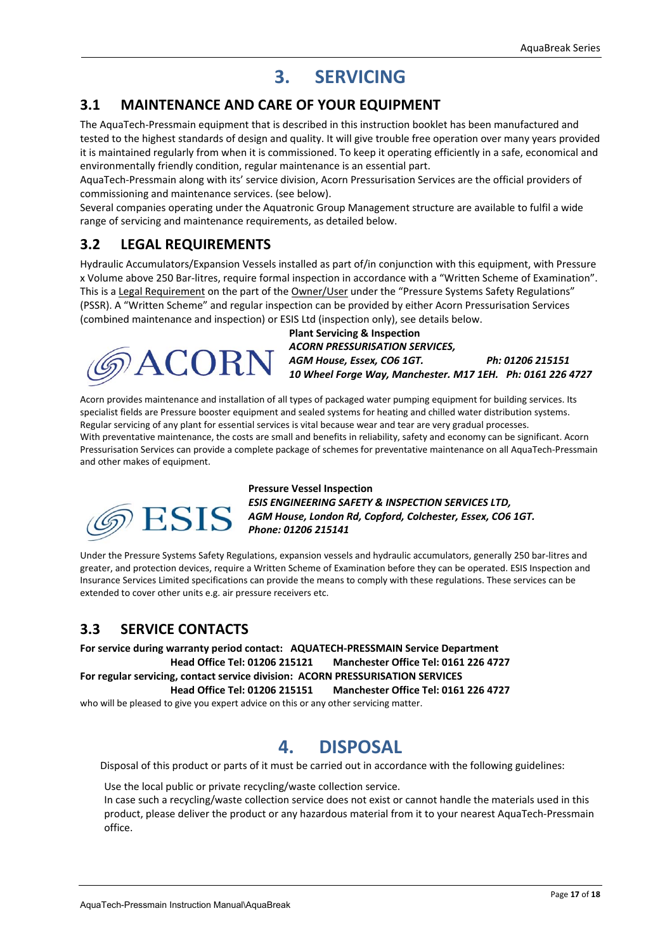# **3. SERVICING**

### **3.1 MAINTENANCE AND CARE OF YOUR EQUIPMENT**

The AquaTech‐Pressmain equipment that is described in this instruction booklet has been manufactured and tested to the highest standards of design and quality. It will give trouble free operation over many years provided it is maintained regularly from when it is commissioned. To keep it operating efficiently in a safe, economical and environmentally friendly condition, regular maintenance is an essential part.

AquaTech‐Pressmain along with its' service division, Acorn Pressurisation Services are the official providers of commissioning and maintenance services. (see below).

Several companies operating under the Aquatronic Group Management structure are available to fulfil a wide range of servicing and maintenance requirements, as detailed below.

### **3.2 LEGAL REQUIREMENTS**

Hydraulic Accumulators/Expansion Vessels installed as part of/in conjunction with this equipment, with Pressure x Volume above 250 Bar‐litres, require formal inspection in accordance with a "Written Scheme of Examination". This is a Legal Requirement on the part of the Owner/User under the "Pressure Systems Safety Regulations" (PSSR). A "Written Scheme" and regular inspection can be provided by either Acorn Pressurisation Services (combined maintenance and inspection) or ESIS Ltd (inspection only), see details below.

COR

**Plant Servicing & Inspection**  *ACORN PRESSURISATION SERVICES, AGM House, Essex, CO6 1GT. Ph: 01206 215151 10 Wheel Forge Way, Manchester. M17 1EH. Ph: 0161 226 4727* 

Acorn provides maintenance and installation of all types of packaged water pumping equipment for building services. Its specialist fields are Pressure booster equipment and sealed systems for heating and chilled water distribution systems. Regular servicing of any plant for essential services is vital because wear and tear are very gradual processes. With preventative maintenance, the costs are small and benefits in reliability, safety and economy can be significant. Acorn Pressurisation Services can provide a complete package of schemes for preventative maintenance on all AquaTech‐Pressmain and other makes of equipment.



**Pressure Vessel Inspection**  *ESIS ENGINEERING SAFETY & INSPECTION SERVICES LTD, AGM House, London Rd, Copford, Colchester, Essex, CO6 1GT. Phone: 01206 215141* 

Under the Pressure Systems Safety Regulations, expansion vessels and hydraulic accumulators, generally 250 bar‐litres and greater, and protection devices, require a Written Scheme of Examination before they can be operated. ESIS Inspection and Insurance Services Limited specifications can provide the means to comply with these regulations. These services can be extended to cover other units e.g. air pressure receivers etc.

### **3.3 SERVICE CONTACTS**

**For service during warranty period contact: AQUATECH‐PRESSMAIN Service Department Head Office Tel: 01206 215121 Manchester Office Tel: 0161 226 4727 For regular servicing, contact service division: ACORN PRESSURISATION SERVICES Head Office Tel: 01206 215151 Manchester Office Tel: 0161 226 4727** 

who will be pleased to give you expert advice on this or any other servicing matter.

# **4. DISPOSAL**

Disposal of this product or parts of it must be carried out in accordance with the following guidelines:

Use the local public or private recycling/waste collection service.

In case such a recycling/waste collection service does not exist or cannot handle the materials used in this product, please deliver the product or any hazardous material from it to your nearest AquaTech‐Pressmain office.